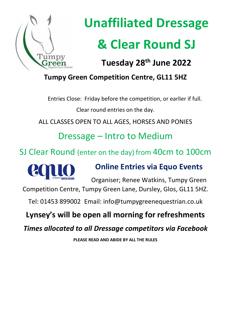

# **Unaffiliated Dressage & Clear Round SJ**

**Tuesday 28th June 2022**

# **Tumpy Green Competition Centre, GL11 5HZ**

Entries Close: Friday before the competition, or earlier if full.

Clear round entries on the day.

ALL CLASSES OPEN TO ALL AGES, HORSES AND PONIES

Dressage – Intro to Medium

SJ Clear Round (enter on the day) from 40cm to 100cm



# **Online Entries via Equo Events**

Organiser; Renee Watkins, Tumpy Green Competition Centre, Tumpy Green Lane, Dursley, Glos, GL11 5HZ.

Tel: 01453 899002 Email: info@tumpygreenequestrian.co.uk

# **Lynsey's will be open all morning for refreshments**

*Times allocated to all Dressage competitors via Facebook*

**PLEASE READ AND ABIDE BY ALL THE RULES**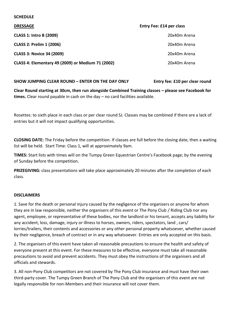#### **SCHEDULE**

| <b>DRESSAGE</b>                                   | <b>Entry Fee: £14 per class</b> |
|---------------------------------------------------|---------------------------------|
| <b>CLASS 1: Intro B (2009)</b>                    | 20x40m Arena                    |
| <b>CLASS 2: Prelim 1 (2006)</b>                   | 20x40m Arena                    |
| <b>CLASS 3: Novice 34 (2009)</b>                  | 20x40m Arena                    |
| CLASS 4: Elementary 49 (2009) or Medium 71 (2002) | 20x40m Arena                    |

## **SHOW JUMPING CLEAR ROUND – ENTER ON THE DAY ONLY Entry fee: £10 per clear round**

**Clear Round starting at 30cm, then run alongside Combined Training classes – please see Facebook for times.** Clear round payable in cash on the day – no card facilities available.

Rosettes: to sixth place in each class or per clear round SJ. Classes may be combined if there are a lack of entries but it will not impact qualifying opportunities.

**CLOSING DATE:** The Friday before the competition. If classes are full before the closing date, then a waiting list will be held. Start Time: Class 1, will at approximately 9am.

**TIMES:** Start lists with times will on the Tumpy Green Equestrian Centre's Facebook page; by the evening of Sunday before the competition.

**PRIZEGIVING:** class presentations will take place approximately 20 minutes after the completion of each class.

## **DISCLAIMERS**

1. Save for the death or personal injury caused by the negligence of the organisers or anyone for whom they are in law responsible, neither the organisers of this event or The Pony Club / Riding Club nor any agent, employee, or representative of these bodies, nor the landlord or his tenant, accepts any liability for any accident, loss, damage, injury or illness to horses, owners, riders, spectators, land , cars/ lorries/trailers, their contents and accessories or any other personal property whatsoever, whether caused by their negligence, breach of contract or in any way whatsoever. Entries are only accepted on this basis.

2. The organisers of this event have taken all reasonable precautions to ensure the health and safety of everyone present at this event. For these measures to be effective, everyone must take all reasonable precautions to avoid and prevent accidents. They must obey the instructions of the organisers and all officials and stewards.

3. All non-Pony Club competitors are not covered by The Pony Club insurance and must have their own third-party cover. The Tumpy Green Branch of The Pony Club and the organisers of this event are not legally responsible for non-Members and their insurance will not cover them.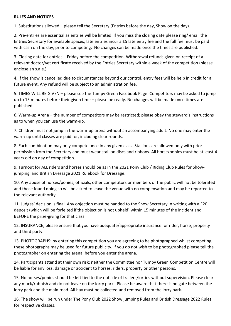## **RULES AND NOTICES**

1. Substitutions allowed – please tell the Secretary (Entries before the day, Show on the day).

2. Pre-entries are essential as entries will be limited. If you miss the closing date please ring/ email the Entries Secretary for available spaces, late entries incur a £5 late entry fee and the full fee must be paid with cash on the day, prior to competing. No changes can be made once the times are published.

3. Closing date for entries – Friday before the competition. Withdrawal refunds given on receipt of a relevant doctor/vet certificate received by the Entries Secretary within a week of the competition (please enclose an s.a.e.)

4. If the show is cancelled due to circumstances beyond our control, entry fees will be help in credit for a future event. Any refund will be subject to an administration fee.

5. TIMES WILL BE GIVEN – please see the Tumpy Green Facebook Page. Competitors may be asked to jump up to 15 minutes before their given time – please be ready. No changes will be made once times are published.

6. Warm-up Arena – the number of competitors may be restricted; please obey the steward's instructions as to when you can use the warm-up.

7. Children must not jump in the warm-up arena without an accompanying adult. No one may enter the warm-up until classes are paid for, including clear rounds.

8. Each combination may only compete once in any given class. Stallions are allowed only with prior permission from the Secretary and must wear stallion discs and ribbons. All horse/ponies must be at least 4 years old on day of competition.

9. Turnout for ALL riders and horses should be as in the 2021 Pony Club / Riding Club Rules for Showjumping and British Dressage 2021 Rulebook for Dressage.

10. Any abuse of horses/ponies, officials, other competitors or members of the public will not be tolerated and those found doing so will be asked to leave the venue with no compensation and may be reported to the relevant authority.

11. Judges' decision is final. Any objection must be handed to the Show Secretary in writing with a £20 deposit (which will be forfeited if the objection is not upheld) within 15 minutes of the incident and BEFORE the prize-giving for that class.

12. INSURANCE; please ensure that you have adequate/appropriate insurance for rider, horse, property and third party.

13. PHOTOGRAPHS: by entering this competition you are agreeing to be photographed whilst competing; these photographs may be used for future publicity. If you do not wish to be photographed please tell the photographer on entering the arena, before you enter the arena.

14. Participants attend at their own risk; neither the Committee nor Tumpy Green Competition Centre will be liable for any loss, damage or accident to horses, riders, property or other persons.

15. No horses/ponies should be left tied to the outside of trailers/lorries without supervision. Please clear any muck/rubbish and do not leave on the lorry park. Please be aware that there is no gate between the lorry park and the main road. All hay must be collected and removed from the lorry park.

16. The show will be run under The Pony Club 2022 Show jumping Rules and British Dressage 2022 Rules for respective classes.